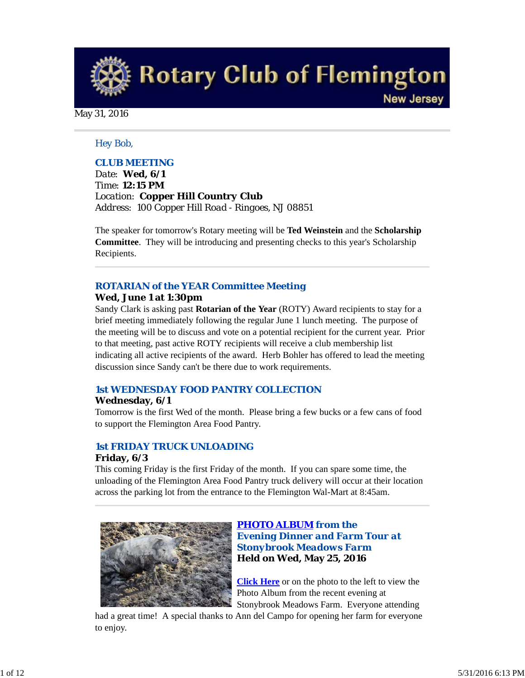**Rotary Club of Flemington New Jersey** 

May 31, 2016

#### *Hey Bob,*

#### *CLUB MEETING*

*Date: Wed, 6/1 Time: 12:15 PM Location: Copper Hill Country Club Address: 100 Copper Hill Road - Ringoes, NJ 08851*

The speaker for tomorrow's Rotary meeting will be **Ted Weinstein** and the **Scholarship Committee**. They will be introducing and presenting checks to this year's Scholarship Recipients.

#### *ROTARIAN of the YEAR Committee Meeting*

#### **Wed, June 1 at 1:30pm**

Sandy Clark is asking past **Rotarian of the Year** (ROTY) Award recipients to stay for a brief meeting immediately following the regular June 1 lunch meeting. The purpose of the meeting will be to discuss and vote on a potential recipient for the current year. Prior to that meeting, past active ROTY recipients will receive a club membership list indicating all active recipients of the award. Herb Bohler has offered to lead the meeting discussion since Sandy can't be there due to work requirements.

## *1st WEDNESDAY FOOD PANTRY COLLECTION*

#### **Wednesday, 6/1**

Tomorrow is the first Wed of the month. Please bring a few bucks or a few cans of food to support the Flemington Area Food Pantry.

#### *1st FRIDAY TRUCK UNLOADING* **Friday, 6/3**

This coming Friday is the first Friday of the month. If you can spare some time, the unloading of the Flemington Area Food Pantry truck delivery will occur at their location across the parking lot from the entrance to the Flemington Wal-Mart at 8:45am.



## *PHOTO ALBUM from the Evening Dinner and Farm Tour at Stonybrook Meadows Farm* **Held on Wed, May 25, 2016**

**Click Here** or on the photo to the left to view the Photo Album from the recent evening at Stonybrook Meadows Farm. Everyone attending

had a great time! A special thanks to Ann del Campo for opening her farm for everyone to enjoy.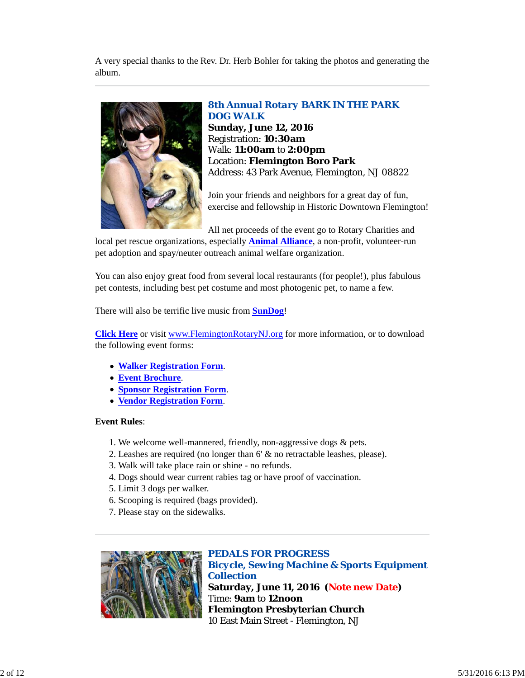A very special thanks to the Rev. Dr. Herb Bohler for taking the photos and generating the album.



# *8th Annual Rotary BARK IN THE PARK DOG WALK*

**Sunday, June 12, 2016** Registration: **10:30am** Walk: **11:00am** to **2:00pm** Location: **Flemington Boro Park** Address: 43 Park Avenue, Flemington, NJ 08822

Join your friends and neighbors for a great day of fun, exercise and fellowship in Historic Downtown Flemington!

All net proceeds of the event go to Rotary Charities and

local pet rescue organizations, especially **Animal Alliance**, a non-profit, volunteer-run pet adoption and spay/neuter outreach animal welfare organization.

You can also enjoy great food from several local restaurants (for people!), plus fabulous pet contests, including best pet costume and most photogenic pet, to name a few.

There will also be terrific live music from **SunDog**!

**Click Here** or visit www.FlemingtonRotaryNJ.org for more information, or to download the following event forms:

- **Walker Registration Form**.
- **Event Brochure**.
- **Sponsor Registration Form**.
- **Vendor Registration Form**.

#### **Event Rules**:

- 1. We welcome well-mannered, friendly, non-aggressive dogs & pets.
- 2. Leashes are required (no longer than 6' & no retractable leashes, please).
- 3. Walk will take place rain or shine no refunds.
- 4. Dogs should wear current rabies tag or have proof of vaccination.
- 5. Limit 3 dogs per walker.
- 6. Scooping is required (bags provided).
- 7. Please stay on the sidewalks.



*PEDALS FOR PROGRESS Bicycle, Sewing Machine & Sports Equipment Collection* **Saturday, June 11, 2016 (Note new Date)** Time: **9am** to **12noon Flemington Presbyterian Church** 10 East Main Street - Flemington, NJ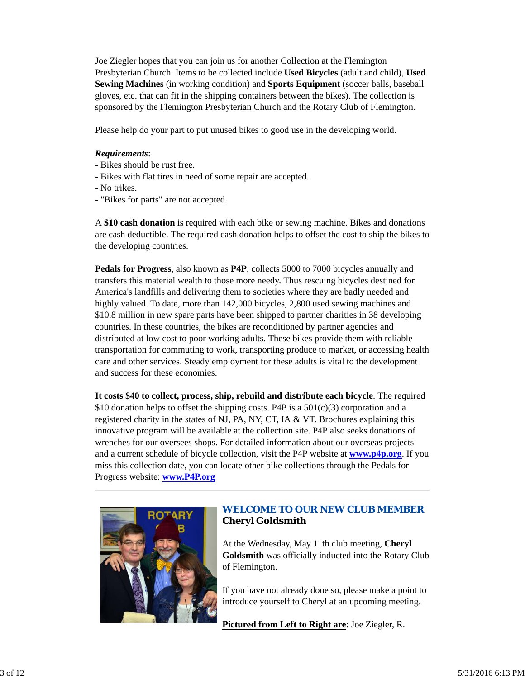Joe Ziegler hopes that you can join us for another Collection at the Flemington Presbyterian Church. Items to be collected include **Used Bicycles** (adult and child), **Used Sewing Machines** (in working condition) and **Sports Equipment** (soccer balls, baseball gloves, etc. that can fit in the shipping containers between the bikes). The collection is sponsored by the Flemington Presbyterian Church and the Rotary Club of Flemington.

Please help do your part to put unused bikes to good use in the developing world.

# *Requirements*:

- Bikes should be rust free.
- Bikes with flat tires in need of some repair are accepted.
- No trikes.
- "Bikes for parts" are not accepted.

A **\$10 cash donation** is required with each bike or sewing machine. Bikes and donations are cash deductible. The required cash donation helps to offset the cost to ship the bikes to the developing countries.

**Pedals for Progress**, also known as **P4P**, collects 5000 to 7000 bicycles annually and transfers this material wealth to those more needy. Thus rescuing bicycles destined for America's landfills and delivering them to societies where they are badly needed and highly valued. To date, more than 142,000 bicycles, 2,800 used sewing machines and \$10.8 million in new spare parts have been shipped to partner charities in 38 developing countries. In these countries, the bikes are reconditioned by partner agencies and distributed at low cost to poor working adults. These bikes provide them with reliable transportation for commuting to work, transporting produce to market, or accessing health care and other services. Steady employment for these adults is vital to the development and success for these economies.

**It costs \$40 to collect, process, ship, rebuild and distribute each bicycle**. The required \$10 donation helps to offset the shipping costs. P4P is a  $501(c)(3)$  corporation and a registered charity in the states of NJ, PA, NY, CT, IA & VT. Brochures explaining this innovative program will be available at the collection site. P4P also seeks donations of wrenches for our oversees shops. For detailed information about our overseas projects and a current schedule of bicycle collection, visit the P4P website at **www.p4p.org**. If you miss this collection date, you can locate other bike collections through the Pedals for Progress website: **www.P4P.org**



# *WELCOME TO OUR NEW CLUB MEMBER* **Cheryl Goldsmith**

At the Wednesday, May 11th club meeting, **Cheryl Goldsmith** was officially inducted into the Rotary Club of Flemington.

If you have not already done so, please make a point to introduce yourself to Cheryl at an upcoming meeting.

**Pictured from Left to Right are**: Joe Ziegler, R.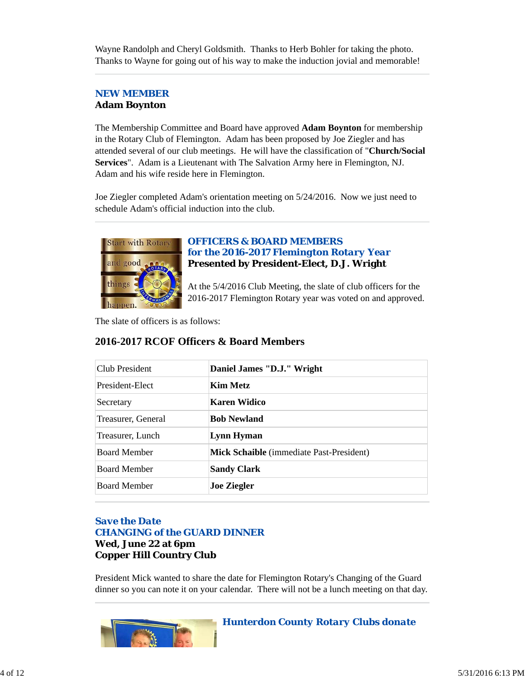Wayne Randolph and Cheryl Goldsmith. Thanks to Herb Bohler for taking the photo. Thanks to Wayne for going out of his way to make the induction jovial and memorable!

# *NEW MEMBER* **Adam Boynton**

The Membership Committee and Board have approved **Adam Boynton** for membership in the Rotary Club of Flemington. Adam has been proposed by Joe Ziegler and has attended several of our club meetings. He will have the classification of "**Church/Social Services**". Adam is a Lieutenant with The Salvation Army here in Flemington, NJ. Adam and his wife reside here in Flemington.

Joe Ziegler completed Adam's orientation meeting on 5/24/2016. Now we just need to schedule Adam's official induction into the club.



# *OFFICERS & BOARD MEMBERS for the 2016-2017 Flemington Rotary Year* **Presented by President-Elect, D.J. Wright**

At the 5/4/2016 Club Meeting, the slate of club officers for the 2016-2017 Flemington Rotary year was voted on and approved.

The slate of officers is as follows:

| Club President      | Daniel James "D.J." Wright               |
|---------------------|------------------------------------------|
| President-Elect     | Kim Metz                                 |
| Secretary           | Karen Widico                             |
| Treasurer, General  | <b>Bob Newland</b>                       |
| Treasurer, Lunch    | Lynn Hyman                               |
| <b>Board Member</b> | Mick Schaible (immediate Past-President) |
| <b>Board Member</b> | <b>Sandy Clark</b>                       |
| <b>Board Member</b> | <b>Joe Ziegler</b>                       |

# **2016-2017 RCOF Officers & Board Members**

# *Save the Date CHANGING of the GUARD DINNER* **Wed, June 22 at 6pm Copper Hill Country Club**

President Mick wanted to share the date for Flemington Rotary's Changing of the Guard dinner so you can note it on your calendar. There will not be a lunch meeting on that day.

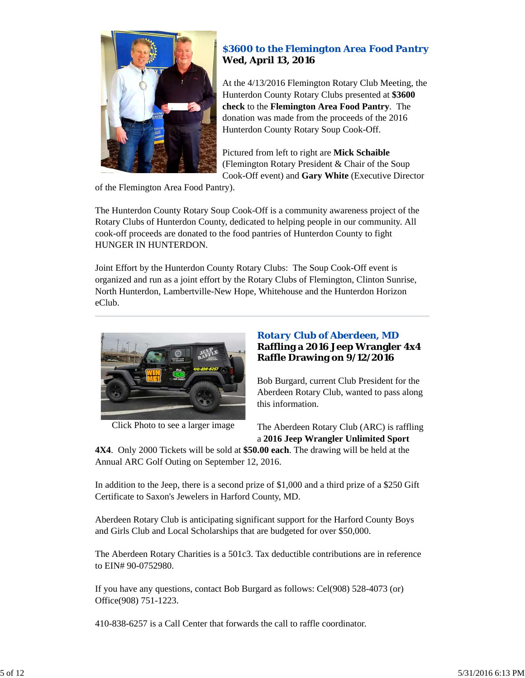

# *\$3600 to the Flemington Area Food Pantry* **Wed, April 13, 2016**

At the 4/13/2016 Flemington Rotary Club Meeting, the Hunterdon County Rotary Clubs presented at **\$3600 check** to the **Flemington Area Food Pantry**. The donation was made from the proceeds of the 2016 Hunterdon County Rotary Soup Cook-Off.

Pictured from left to right are **Mick Schaible** (Flemington Rotary President & Chair of the Soup Cook-Off event) and **Gary White** (Executive Director

of the Flemington Area Food Pantry).

The Hunterdon County Rotary Soup Cook-Off is a community awareness project of the Rotary Clubs of Hunterdon County, dedicated to helping people in our community. All cook-off proceeds are donated to the food pantries of Hunterdon County to fight HUNGER IN HUNTERDON.

Joint Effort by the Hunterdon County Rotary Clubs: The Soup Cook-Off event is organized and run as a joint effort by the Rotary Clubs of Flemington, Clinton Sunrise, North Hunterdon, Lambertville-New Hope, Whitehouse and the Hunterdon Horizon eClub.



Click Photo to see a larger image

# *Rotary Club of Aberdeen, MD* **Raffling a 2016 Jeep Wrangler 4x4 Raffle Drawing on 9/12/2016**

Bob Burgard, current Club President for the Aberdeen Rotary Club, wanted to pass along this information.

The Aberdeen Rotary Club (ARC) is raffling a **2016 Jeep Wrangler Unlimited Sport**

**4X4**. Only 2000 Tickets will be sold at **\$50.00 each**. The drawing will be held at the Annual ARC Golf Outing on September 12, 2016.

In addition to the Jeep, there is a second prize of \$1,000 and a third prize of a \$250 Gift Certificate to Saxon's Jewelers in Harford County, MD.

Aberdeen Rotary Club is anticipating significant support for the Harford County Boys and Girls Club and Local Scholarships that are budgeted for over \$50,000.

The Aberdeen Rotary Charities is a 501c3. Tax deductible contributions are in reference to EIN# 90-0752980.

If you have any questions, contact Bob Burgard as follows: Cel(908) 528-4073 (or) Office(908) 751-1223.

410-838-6257 is a Call Center that forwards the call to raffle coordinator.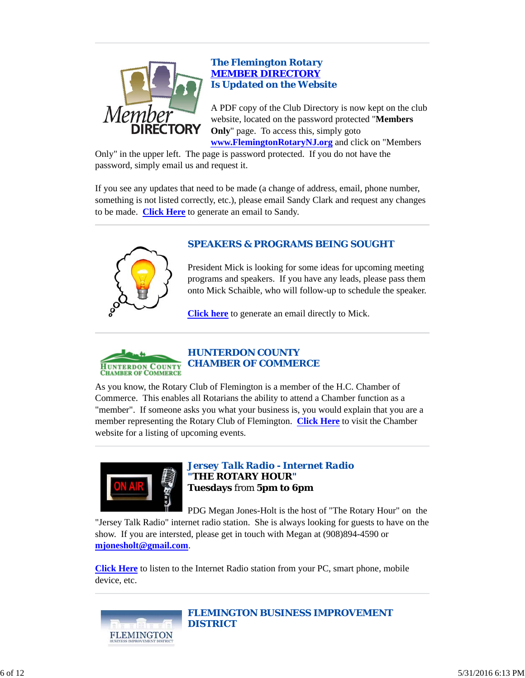

# *The Flemington Rotary MEMBER DIRECTORY Is Updated on the Website*

A PDF copy of the Club Directory is now kept on the club website, located on the password protected "**Members Only**" page. To access this, simply goto **www.FlemingtonRotaryNJ.org** and click on "Members

Only" in the upper left. The page is password protected. If you do not have the password, simply email us and request it.

If you see any updates that need to be made (a change of address, email, phone number, something is not listed correctly, etc.), please email Sandy Clark and request any changes to be made. **Click Here** to generate an email to Sandy.



# *SPEAKERS & PROGRAMS BEING SOUGHT*

President Mick is looking for some ideas for upcoming meeting programs and speakers. If you have any leads, please pass them onto Mick Schaible, who will follow-up to schedule the speaker.

**Click here** to generate an email directly to Mick.



As you know, the Rotary Club of Flemington is a member of the H.C. Chamber of Commerce. This enables all Rotarians the ability to attend a Chamber function as a "member". If someone asks you what your business is, you would explain that you are a member representing the Rotary Club of Flemington. **Click Here** to visit the Chamber website for a listing of upcoming events.



*Jersey Talk Radio - Internet Radio "THE ROTARY HOUR"* **Tuesdays** from **5pm to 6pm**

PDG Megan Jones-Holt is the host of "The Rotary Hour" on the "Jersey Talk Radio" internet radio station. She is always looking for guests to have on the show. If you are intersted, please get in touch with Megan at (908)894-4590 or **mjonesholt@gmail.com**.

**Click Here** to listen to the Internet Radio station from your PC, smart phone, mobile device, etc.



*FLEMINGTON BUSINESS IMPROVEMENT DISTRICT*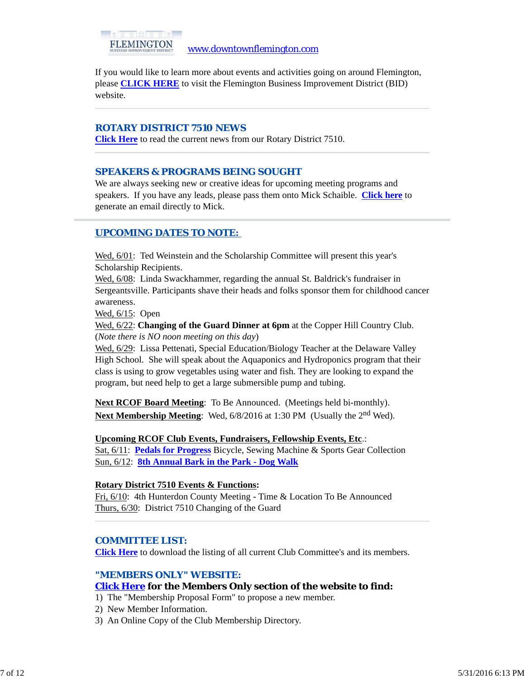

If you would like to learn more about events and activities going on around Flemington, please **CLICK HERE** to visit the Flemington Business Improvement District (BID) website.

## *ROTARY DISTRICT 7510 NEWS*

**Click Here** to read the current news from our Rotary District 7510.

# *SPEAKERS & PROGRAMS BEING SOUGHT*

We are always seeking new or creative ideas for upcoming meeting programs and speakers. If you have any leads, please pass them onto Mick Schaible. **Click here** to generate an email directly to Mick.

# *UPCOMING DATES TO NOTE:*

Wed,  $6/01$ : Ted Weinstein and the Scholarship Committee will present this year's Scholarship Recipients.

Wed, 6/08: Linda Swackhammer, regarding the annual St. Baldrick's fundraiser in Sergeantsville. Participants shave their heads and folks sponsor them for childhood cancer awareness.

Wed, 6/15: Open

Wed, 6/22: **Changing of the Guard Dinner at 6pm** at the Copper Hill Country Club. (*Note there is NO noon meeting on this day*)

Wed, 6/29: Lissa Pettenati, Special Education/Biology Teacher at the Delaware Valley High School. She will speak about the Aquaponics and Hydroponics program that their class is using to grow vegetables using water and fish. They are looking to expand the program, but need help to get a large submersible pump and tubing.

**Next RCOF Board Meeting:** To Be Announced. (Meetings held bi-monthly). **Next Membership Meeting**: Wed, 6/8/2016 at 1:30 PM (Usually the 2<sup>nd</sup> Wed).

**Upcoming RCOF Club Events, Fundraisers, Fellowship Events, Etc**.: Sat, 6/11: **Pedals for Progress** Bicycle, Sewing Machine & Sports Gear Collection Sun, 6/12: **8th Annual Bark in the Park - Dog Walk**

## **Rotary District 7510 Events & Functions:**

Fri, 6/10: 4th Hunterdon County Meeting - Time & Location To Be Announced Thurs, 6/30: District 7510 Changing of the Guard

## *COMMITTEE LIST:*

**Click Here** to download the listing of all current Club Committee's and its members.

## *"MEMBERS ONLY" WEBSITE:*

## **Click Here for the Members Only section of the website to find:**

- 1) The "Membership Proposal Form" to propose a new member.
- 2) New Member Information.
- 3) An Online Copy of the Club Membership Directory.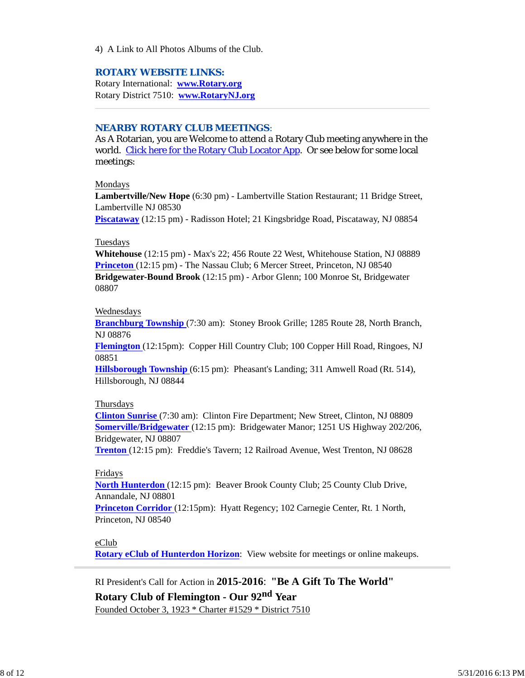4) A Link to All Photos Albums of the Club.

#### *ROTARY WEBSITE LINKS:*

Rotary International: **www.Rotary.org** Rotary District 7510: **www.RotaryNJ.org**

## *NEARBY ROTARY CLUB MEETINGS:*

As A Rotarian, you are Welcome to attend a Rotary Club meeting anywhere in the world. Click here for the Rotary Club Locator App. Or see below for some local meetings:

#### Mondays

**Lambertville/New Hope** (6:30 pm) - Lambertville Station Restaurant; 11 Bridge Street, Lambertville NJ 08530

**Piscataway** (12:15 pm) - Radisson Hotel; 21 Kingsbridge Road, Piscataway, NJ 08854

#### Tuesdays

**Whitehouse** (12:15 pm) - Max's 22; 456 Route 22 West, Whitehouse Station, NJ 08889 **Princeton** (12:15 pm) - The Nassau Club; 6 Mercer Street, Princeton, NJ 08540 **Bridgewater-Bound Brook** (12:15 pm) - Arbor Glenn; 100 Monroe St, Bridgewater 08807

#### Wednesdays

**Branchburg Township** (7:30 am): Stoney Brook Grille; 1285 Route 28, North Branch, NJ 08876

**Flemington** (12:15pm): Copper Hill Country Club; 100 Copper Hill Road, Ringoes, NJ 08851

**Hillsborough Township** (6:15 pm): Pheasant's Landing; 311 Amwell Road (Rt. 514), Hillsborough, NJ 08844

#### Thursdays

**Clinton Sunrise** (7:30 am): Clinton Fire Department; New Street, Clinton, NJ 08809 **Somerville/Bridgewater** (12:15 pm): Bridgewater Manor; 1251 US Highway 202/206, Bridgewater, NJ 08807

**Trenton** (12:15 pm): Freddie's Tavern; 12 Railroad Avenue, West Trenton, NJ 08628

#### Fridays

**North Hunterdon** (12:15 pm): Beaver Brook County Club; 25 County Club Drive, Annandale, NJ 08801

**Princeton Corridor** (12:15pm): Hyatt Regency; 102 Carnegie Center, Rt. 1 North, Princeton, NJ 08540

## eClub

**Rotary eClub of Hunterdon Horizon**: View website for meetings or online makeups.

RI President's Call for Action in **2015-2016**: **"Be A Gift To The World"**

**Rotary Club of Flemington - Our 92nd Year**

Founded October 3, 1923 \* Charter #1529 \* District 7510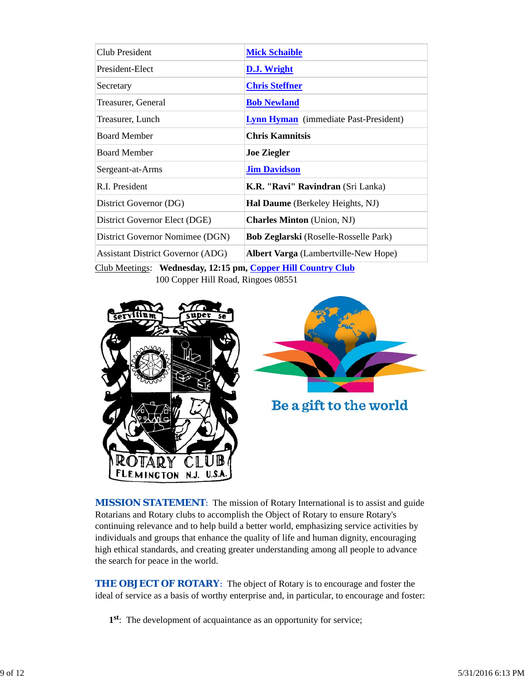| Club President                           | <b>Mick Schaible</b>                         |  |  |
|------------------------------------------|----------------------------------------------|--|--|
| President-Elect                          | D.J. Wright                                  |  |  |
| Secretary                                | <b>Chris Steffner</b>                        |  |  |
| Treasurer, General                       | <b>Bob Newland</b>                           |  |  |
| Treasurer, Lunch                         | <b>Lynn Hyman</b> (immediate Past-President) |  |  |
| <b>Board Member</b>                      | <b>Chris Kamnitsis</b>                       |  |  |
| <b>Board Member</b>                      | <b>Joe Ziegler</b>                           |  |  |
| Sergeant-at-Arms                         | <b>Jim Davidson</b>                          |  |  |
| R.I. President                           | K.R. "Ravi" Ravindran (Sri Lanka)            |  |  |
| District Governor (DG)                   | Hal Daume (Berkeley Heights, NJ)             |  |  |
| District Governor Elect (DGE)            | <b>Charles Minton</b> (Union, NJ)            |  |  |
| District Governor Nomimee (DGN)          | <b>Bob Zeglarski</b> (Roselle-Rosselle Park) |  |  |
| <b>Assistant District Governor (ADG)</b> | <b>Albert Varga</b> (Lambertville-New Hope)  |  |  |
|                                          |                                              |  |  |

Club Meetings: **Wednesday, 12:15 pm, Copper Hill Country Club** 100 Copper Hill Road, Ringoes 08551





Be a gift to the world

**MISSION STATEMENT:** The mission of Rotary International is to assist and guide Rotarians and Rotary clubs to accomplish the Object of Rotary to ensure Rotary's continuing relevance and to help build a better world, emphasizing service activities by individuals and groups that enhance the quality of life and human dignity, encouraging high ethical standards, and creating greater understanding among all people to advance the search for peace in the world.

**THE OBJECT OF ROTARY:** The object of Rotary is to encourage and foster the ideal of service as a basis of worthy enterprise and, in particular, to encourage and foster:

**1st**: The development of acquaintance as an opportunity for service;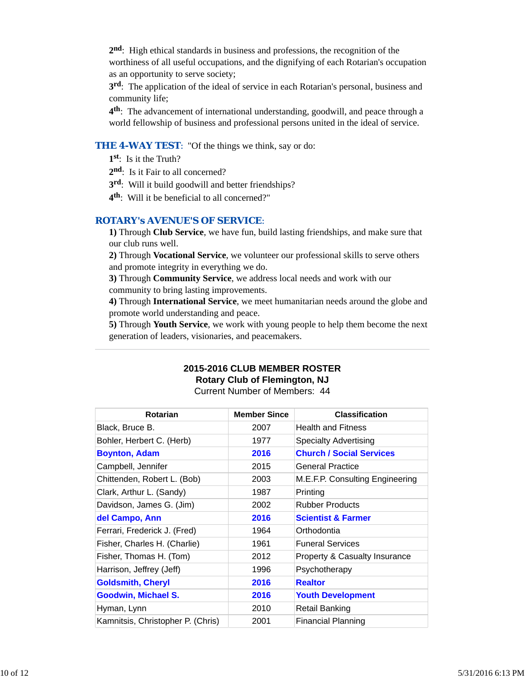**2nd**: High ethical standards in business and professions, the recognition of the worthiness of all useful occupations, and the dignifying of each Rotarian's occupation as an opportunity to serve society;

**3rd**: The application of the ideal of service in each Rotarian's personal, business and community life;

**4th**: The advancement of international understanding, goodwill, and peace through a world fellowship of business and professional persons united in the ideal of service.

## **THE 4-WAY TEST:** "Of the things we think, say or do:

**1st**: Is it the Truth?

2<sup>nd</sup>: Is it Fair to all concerned?

**3rd**: Will it build goodwill and better friendships?

**4th**: Will it be beneficial to all concerned?"

## *ROTARY's AVENUE'S OF SERVICE*:

**1)** Through **Club Service**, we have fun, build lasting friendships, and make sure that our club runs well.

**2)** Through **Vocational Service**, we volunteer our professional skills to serve others and promote integrity in everything we do.

**3)** Through **Community Service**, we address local needs and work with our community to bring lasting improvements.

**4)** Through **International Service**, we meet humanitarian needs around the globe and promote world understanding and peace.

**5)** Through **Youth Service**, we work with young people to help them become the next generation of leaders, visionaries, and peacemakers.

# **2015-2016 CLUB MEMBER ROSTER**

**Rotary Club of Flemington, NJ**

Current Number of Members: 44

| <b>Rotarian</b>                   | <b>Member Since</b> | <b>Classification</b>           |
|-----------------------------------|---------------------|---------------------------------|
| Black, Bruce B.                   | 2007                | <b>Health and Fitness</b>       |
| Bohler, Herbert C. (Herb)         | 1977                | Specialty Advertising           |
| <b>Boynton, Adam</b>              | 2016                | <b>Church / Social Services</b> |
| Campbell, Jennifer                | 2015                | <b>General Practice</b>         |
| Chittenden, Robert L. (Bob)       | 2003                | M.E.F.P. Consulting Engineering |
| Clark, Arthur L. (Sandy)          | 1987                | Printing                        |
| Davidson, James G. (Jim)          | 2002                | <b>Rubber Products</b>          |
| del Campo, Ann                    | 2016                | <b>Scientist &amp; Farmer</b>   |
| Ferrari, Frederick J. (Fred)      | 1964                | Orthodontia                     |
| Fisher, Charles H. (Charlie)      | 1961                | <b>Funeral Services</b>         |
| Fisher, Thomas H. (Tom)           | 2012                | Property & Casualty Insurance   |
| Harrison, Jeffrey (Jeff)          | 1996                | Psychotherapy                   |
| <b>Goldsmith, Cheryl</b>          | 2016                | <b>Realtor</b>                  |
| <b>Goodwin, Michael S.</b>        | 2016                | <b>Youth Development</b>        |
| Hyman, Lynn                       | 2010                | <b>Retail Banking</b>           |
| Kamnitsis, Christopher P. (Chris) | 2001                | <b>Financial Planning</b>       |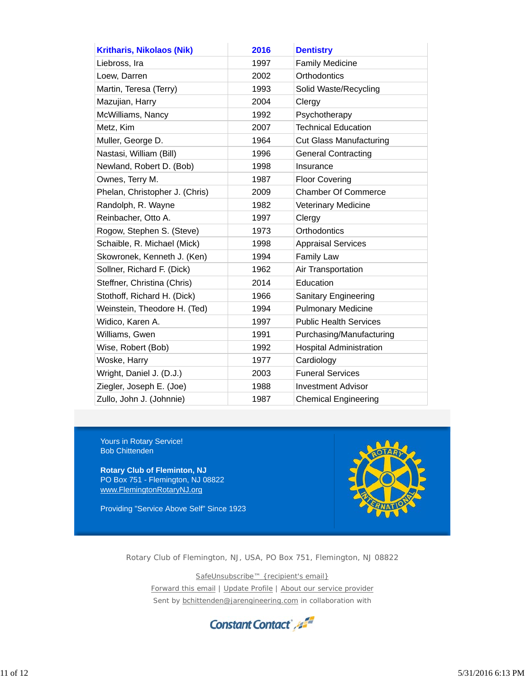| <b>Kritharis, Nikolaos (Nik)</b> | 2016 | <b>Dentistry</b>               |
|----------------------------------|------|--------------------------------|
| Liebross, Ira                    | 1997 | <b>Family Medicine</b>         |
| Loew, Darren                     | 2002 | Orthodontics                   |
| Martin, Teresa (Terry)           | 1993 | Solid Waste/Recycling          |
| Mazujian, Harry                  | 2004 | Clergy                         |
| McWilliams, Nancy                | 1992 | Psychotherapy                  |
| Metz, Kim                        | 2007 | <b>Technical Education</b>     |
| Muller, George D.                | 1964 | <b>Cut Glass Manufacturing</b> |
| Nastasi, William (Bill)          | 1996 | <b>General Contracting</b>     |
| Newland, Robert D. (Bob)         | 1998 | Insurance                      |
| Ownes, Terry M.                  | 1987 | <b>Floor Covering</b>          |
| Phelan, Christopher J. (Chris)   | 2009 | <b>Chamber Of Commerce</b>     |
| Randolph, R. Wayne               | 1982 | <b>Veterinary Medicine</b>     |
| Reinbacher, Otto A.              | 1997 | Clergy                         |
| Rogow, Stephen S. (Steve)        | 1973 | Orthodontics                   |
| Schaible, R. Michael (Mick)      | 1998 | <b>Appraisal Services</b>      |
| Skowronek, Kenneth J. (Ken)      | 1994 | <b>Family Law</b>              |
| Sollner, Richard F. (Dick)       | 1962 | Air Transportation             |
| Steffner, Christina (Chris)      | 2014 | Education                      |
| Stothoff, Richard H. (Dick)      | 1966 | Sanitary Engineering           |
| Weinstein, Theodore H. (Ted)     | 1994 | <b>Pulmonary Medicine</b>      |
| Widico, Karen A.                 | 1997 | <b>Public Health Services</b>  |
| Williams, Gwen                   | 1991 | Purchasing/Manufacturing       |
| Wise, Robert (Bob)               | 1992 | <b>Hospital Administration</b> |
| Woske, Harry                     | 1977 | Cardiology                     |
| Wright, Daniel J. (D.J.)         | 2003 | <b>Funeral Services</b>        |
| Ziegler, Joseph E. (Joe)         | 1988 | <b>Investment Advisor</b>      |
| Zullo, John J. (Johnnie)         | 1987 | <b>Chemical Engineering</b>    |

Yours in Rotary Service! Bob Chittenden

**Rotary Club of Fleminton, NJ** PO Box 751 - Flemington, NJ 08822 www.FlemingtonRotaryNJ.org

Providing "Service Above Self" Since 1923



Rotary Club of Flemington, NJ, USA, PO Box 751, Flemington, NJ 08822

SafeUnsubscribe™ {recipient's email}

Forward this email | Update Profile | About our service provider Sent by bchittenden@jarengineering.com in collaboration with